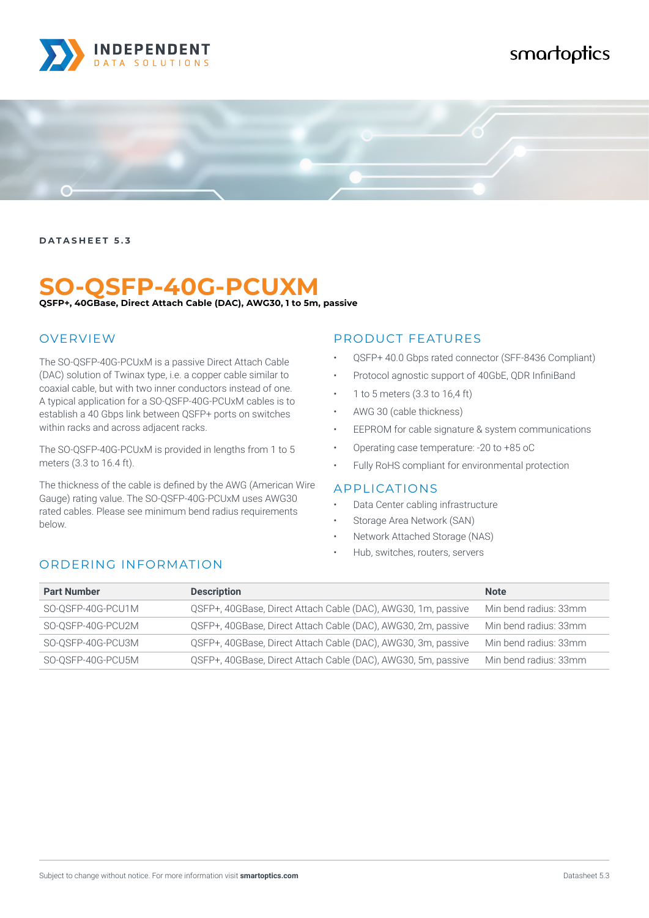

# smartoptics



**DATASHEET 5.3**

# **SO-QSFP-40G-PCUXM**

**QSFP+, 40GBase, Direct Attach Cable (DAC), AWG30, 1 to 5m, passive**

### **OVERVIEW**

The SO-QSFP-40G-PCUxM is a passive Direct Attach Cable (DAC) solution of Twinax type, i.e. a copper cable similar to coaxial cable, but with two inner conductors instead of one. A typical application for a SO-QSFP-40G-PCUxM cables is to establish a 40 Gbps link between QSFP+ ports on switches within racks and across adjacent racks.

The SO-QSFP-40G-PCUxM is provided in lengths from 1 to 5 meters (3.3 to 16.4 ft).

The thickness of the cable is defined by the AWG (American Wire Gauge) rating value. The SO-QSFP-40G-PCUxM uses AWG30 rated cables. Please see minimum bend radius requirements below.

#### PRODUCT FEATURES

- QSFP+ 40.0 Gbps rated connector (SFF-8436 Compliant)
- Protocol agnostic support of 40GbE, QDR InfiniBand
- 1 to 5 meters (3.3 to 16,4 ft)
- AWG 30 (cable thickness)
- EEPROM for cable signature & system communications
- Operating case temperature: -20 to +85 oC
- Fully RoHS compliant for environmental protection

#### APPLICATIONS

- Data Center cabling infrastructure
- Storage Area Network (SAN)
- Network Attached Storage (NAS)
- Hub, switches, routers, servers

## ORDERING INFORMATION

| <b>Part Number</b> | <b>Description</b>                                            | <b>Note</b>           |
|--------------------|---------------------------------------------------------------|-----------------------|
| SO-QSFP-40G-PCU1M  | QSFP+, 40GBase, Direct Attach Cable (DAC), AWG30, 1m, passive | Min bend radius: 33mm |
| SO-OSFP-40G-PCU2M  | QSFP+, 40GBase, Direct Attach Cable (DAC), AWG30, 2m, passive | Min bend radius: 33mm |
| SO-OSFP-40G-PCU3M  | QSFP+, 40GBase, Direct Attach Cable (DAC), AWG30, 3m, passive | Min bend radius: 33mm |
| SO-OSFP-40G-PCU5M  | QSFP+, 40GBase, Direct Attach Cable (DAC), AWG30, 5m, passive | Min bend radius: 33mm |